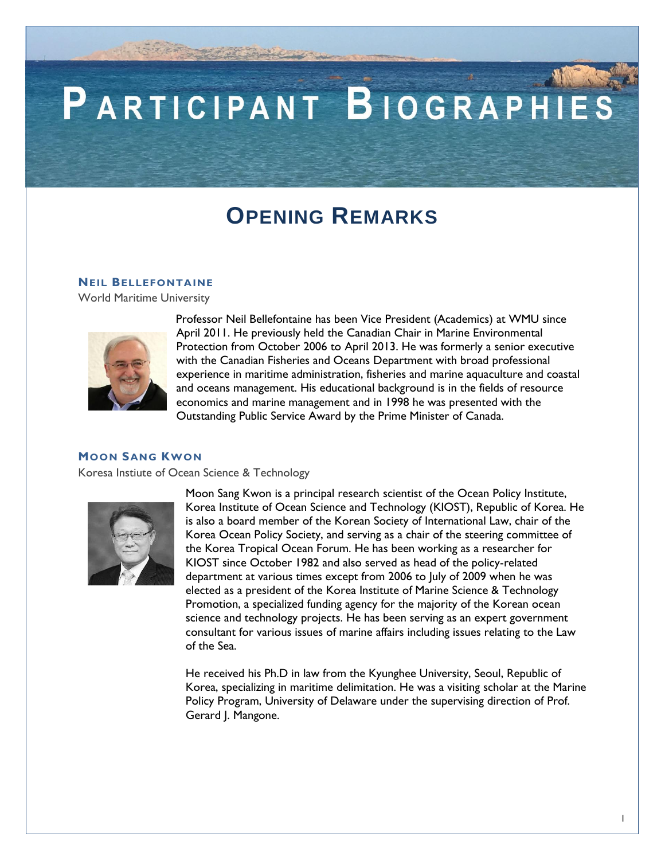# PARTICIPANT BIOGRAPHIES

### **OPENING REMARKS**

#### **NEIL BELLEFONTAINE**

World Maritime University



Professor Neil Bellefontaine has been Vice President (Academics) at WMU since April 2011. He previously held the Canadian Chair in Marine Environmental Protection from October 2006 to April 2013. He was formerly a senior executive with the Canadian Fisheries and Oceans Department with broad professional experience in maritime administration, fisheries and marine aquaculture and coastal and oceans management. His educational background is in the fields of resource economics and marine management and in 1998 he was presented with the Outstanding Public Service Award by the Prime Minister of Canada.

#### **MOON SANG KWON**

Koresa Instiute of Ocean Science & Technology



Moon Sang Kwon is a principal research scientist of the Ocean Policy Institute, Korea Institute of Ocean Science and Technology (KIOST), Republic of Korea. He is also a board member of the Korean Society of International Law, chair of the Korea Ocean Policy Society, and serving as a chair of the steering committee of the Korea Tropical Ocean Forum. He has been working as a researcher for KIOST since October 1982 and also served as head of the policy-related department at various times except from 2006 to July of 2009 when he was elected as a president of the Korea Institute of Marine Science & Technology Promotion, a specialized funding agency for the majority of the Korean ocean science and technology projects. He has been serving as an expert government consultant for various issues of marine affairs including issues relating to the Law of the Sea.

He received his Ph.D in law from the Kyunghee University, Seoul, Republic of Korea, specializing in maritime delimitation. He was a visiting scholar at the Marine Policy Program, University of Delaware under the supervising direction of Prof. Gerard J. Mangone.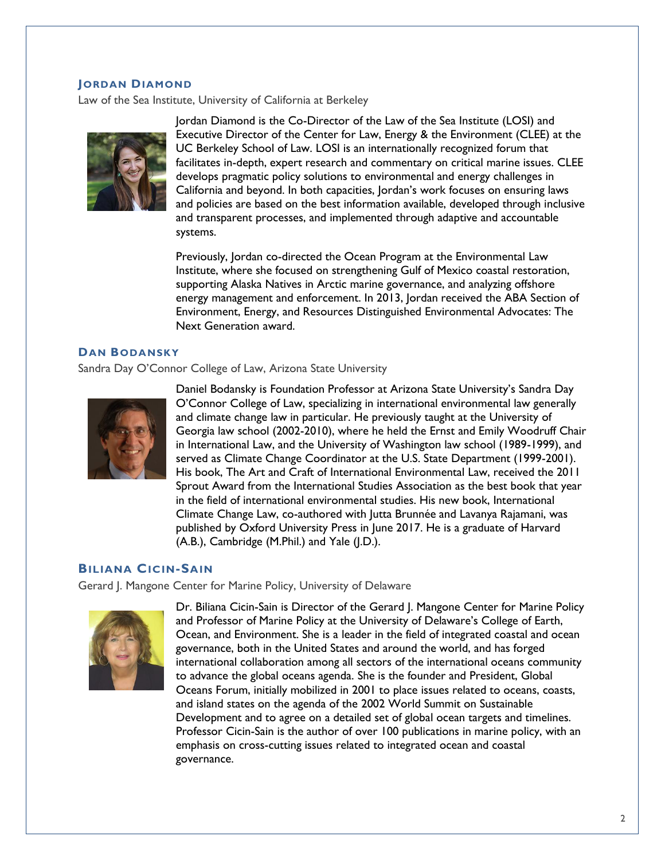#### **JORDAN DIAMOND**

Law of the Sea Institute, University of California at Berkeley



Jordan Diamond is the Co-Director of the Law of the Sea Institute (LOSI) and Executive Director of the Center for Law, Energy & the Environment (CLEE) at the UC Berkeley School of Law. LOSI is an internationally recognized forum that facilitates in-depth, expert research and commentary on critical marine issues. CLEE develops pragmatic policy solutions to environmental and energy challenges in California and beyond. In both capacities, Jordan's work focuses on ensuring laws and policies are based on the best information available, developed through inclusive and transparent processes, and implemented through adaptive and accountable systems.

Previously, Jordan co-directed the Ocean Program at the Environmental Law Institute, where she focused on strengthening Gulf of Mexico coastal restoration, supporting Alaska Natives in Arctic marine governance, and analyzing offshore energy management and enforcement. In 2013, Jordan received the ABA Section of Environment, Energy, and Resources Distinguished Environmental Advocates: The Next Generation award.

#### **DAN BODANSKY**

Sandra Day O'Connor College of Law, Arizona State University



Daniel Bodansky is Foundation Professor at Arizona State University's Sandra Day O'Connor College of Law, specializing in international environmental law generally and climate change law in particular. He previously taught at the University of Georgia law school (2002-2010), where he held the Ernst and Emily Woodruff Chair in International Law, and the University of Washington law school (1989-1999), and served as Climate Change Coordinator at the U.S. State Department (1999-2001). His book, The Art and Craft of International Environmental Law, received the 2011 Sprout Award from the International Studies Association as the best book that year in the field of international environmental studies. His new book, International Climate Change Law, co-authored with Jutta Brunnée and Lavanya Rajamani, was published by Oxford University Press in June 2017. He is a graduate of Harvard (A.B.), Cambridge (M.Phil.) and Yale (J.D.).

#### **BILIANA CICIN-SAIN**

Gerard J. Mangone Center for Marine Policy, University of Delaware



Dr. Biliana Cicin-Sain is Director of the Gerard J. Mangone Center for Marine Policy and Professor of Marine Policy at the University of Delaware's College of Earth, Ocean, and Environment. She is a leader in the field of integrated coastal and ocean governance, both in the United States and around the world, and has forged international collaboration among all sectors of the international oceans community to advance the global oceans agenda. She is the founder and President, Global Oceans Forum, initially mobilized in 2001 to place issues related to oceans, coasts, and island states on the agenda of the 2002 World Summit on Sustainable Development and to agree on a detailed set of global ocean targets and timelines. Professor Cicin-Sain is the author of over 100 publications in marine policy, with an emphasis on cross-cutting issues related to integrated ocean and coastal governance.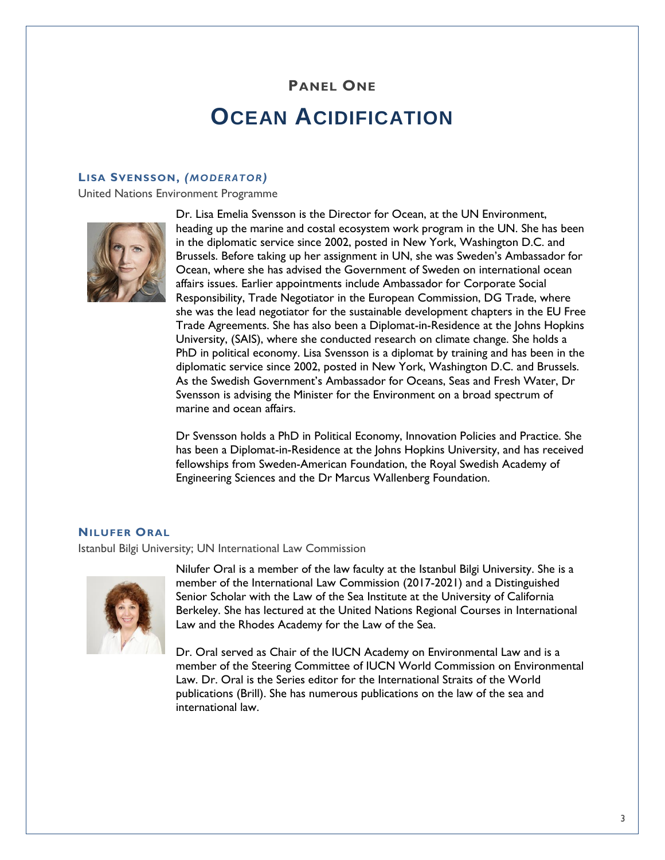# **PANEL ONE OCEAN ACIDIFICATION**

#### **LISA SVENSSON,** *(MODERATOR)*

United Nations Environment Programme



Dr. Lisa Emelia Svensson is the Director for Ocean, at the UN Environment, heading up the marine and costal ecosystem work program in the UN. She has been in the diplomatic service since 2002, posted in New York, Washington D.C. and Brussels. Before taking up her assignment in UN, she was Sweden's Ambassador for Ocean, where she has advised the Government of Sweden on international ocean affairs issues. Earlier appointments include Ambassador for Corporate Social Responsibility, Trade Negotiator in the European Commission, DG Trade, where she was the lead negotiator for the sustainable development chapters in the EU Free Trade Agreements. She has also been a Diplomat-in-Residence at the Johns Hopkins University, (SAIS), where she conducted research on climate change. She holds a PhD in political economy. Lisa Svensson is a diplomat by training and has been in the diplomatic service since 2002, posted in New York, Washington D.C. and Brussels. As the Swedish Government's Ambassador for Oceans, Seas and Fresh Water, Dr Svensson is advising the Minister for the Environment on a broad spectrum of marine and ocean affairs.

Dr Svensson holds a PhD in Political Economy, Innovation Policies and Practice. She has been a Diplomat-in-Residence at the Johns Hopkins University, and has received fellowships from Sweden-American Foundation, the Royal Swedish Academy of Engineering Sciences and the Dr Marcus Wallenberg Foundation.

#### **NILUFER ORAL**

Istanbul Bilgi University; UN International Law Commission



Nilufer Oral is a member of the law faculty at the Istanbul Bilgi University. She is a member of the International Law Commission (2017-2021) and a Distinguished Senior Scholar with the Law of the Sea Institute at the University of California Berkeley. She has lectured at the United Nations Regional Courses in International Law and the Rhodes Academy for the Law of the Sea.

Dr. Oral served as Chair of the IUCN Academy on Environmental Law and is a member of the Steering Committee of IUCN World Commission on Environmental Law. Dr. Oral is the Series editor for the International Straits of the World publications (Brill). She has numerous publications on the law of the sea and international law.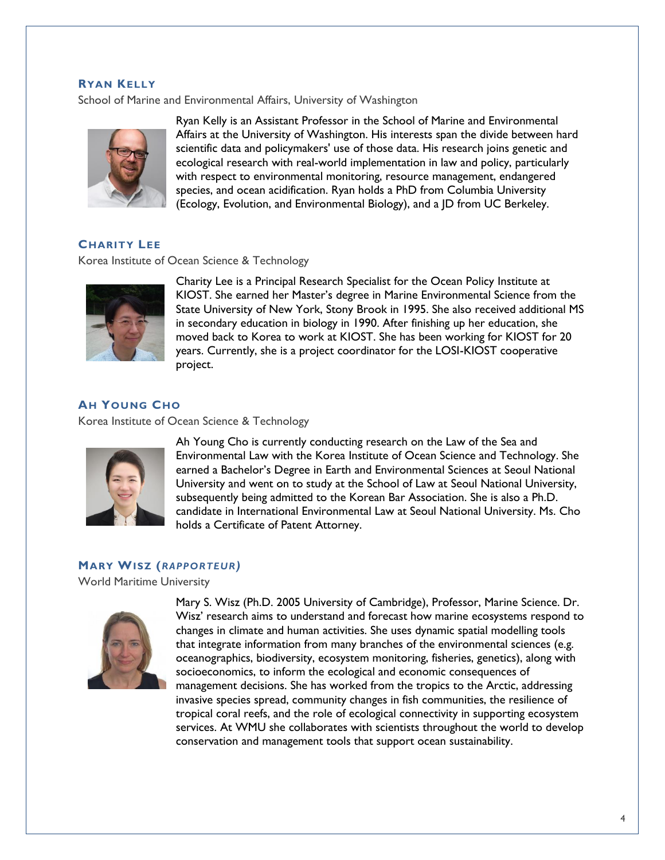#### **RYAN KELLY**

School of Marine and Environmental Affairs, University of Washington



Ryan Kelly is an Assistant Professor in the School of Marine and Environmental Affairs at the University of Washington. His interests span the divide between hard scientific data and policymakers' use of those data. His research joins genetic and ecological research with real-world implementation in law and policy, particularly with respect to environmental monitoring, resource management, endangered species, and ocean acidification. Ryan holds a PhD from Columbia University (Ecology, Evolution, and Environmental Biology), and a JD from UC Berkeley.

### **CHARITY LEE**

Korea Institute of Ocean Science & Technology



Charity Lee is a Principal Research Specialist for the Ocean Policy Institute at KIOST. She earned her Master's degree in Marine Environmental Science from the State University of New York, Stony Brook in 1995. She also received additional MS in secondary education in biology in 1990. After finishing up her education, she moved back to Korea to work at KIOST. She has been working for KIOST for 20 years. Currently, she is a project coordinator for the LOSI-KIOST cooperative project.

#### **AH YOUNG CHO**

Korea Institute of Ocean Science & Technology



Ah Young Cho is currently conducting research on the Law of the Sea and Environmental Law with the Korea Institute of Ocean Science and Technology. She earned a Bachelor's Degree in Earth and Environmental Sciences at Seoul National University and went on to study at the School of Law at Seoul National University, subsequently being admitted to the Korean Bar Association. She is also a Ph.D. candidate in International Environmental Law at Seoul National University. Ms. Cho holds a Certificate of Patent Attorney.

#### **MARY WISZ (***RAPPORTEUR)*

World Maritime University



Mary S. Wisz (Ph.D. 2005 University of Cambridge), Professor, Marine Science. Dr. Wisz' research aims to understand and forecast how marine ecosystems respond to changes in climate and human activities. She uses dynamic spatial modelling tools that integrate information from many branches of the environmental sciences (e.g. oceanographics, biodiversity, ecosystem monitoring, fisheries, genetics), along with socioeconomics, to inform the ecological and economic consequences of management decisions. She has worked from the tropics to the Arctic, addressing invasive species spread, community changes in fish communities, the resilience of tropical coral reefs, and the role of ecological connectivity in supporting ecosystem services. At WMU she collaborates with scientists throughout the world to develop conservation and management tools that support ocean sustainability.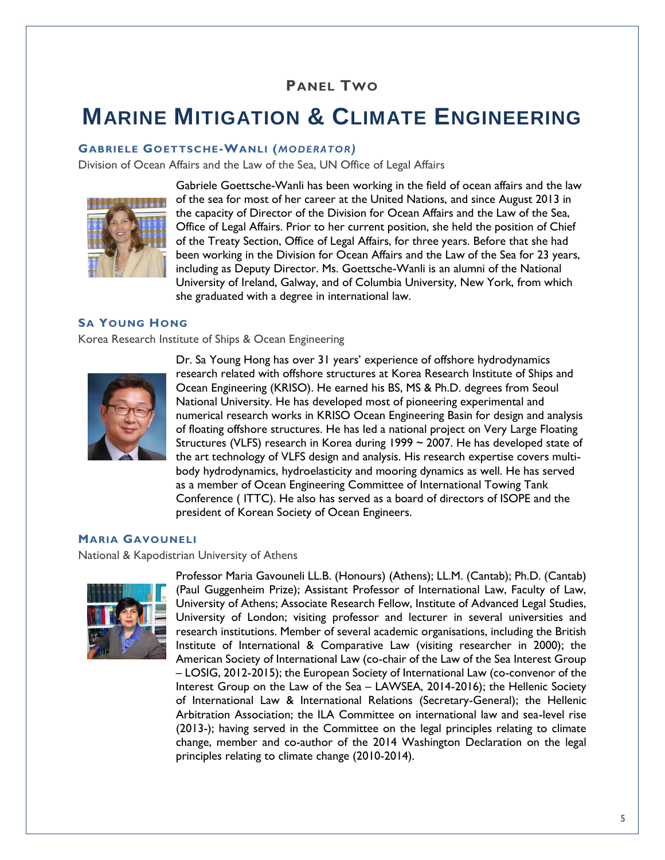### **PANEL TWO**

### **MARINE MITIGATION & CLIMATE ENGINEERING**

#### **GABRIELE GOETTSCHE-WANLI (***MODERATOR)*

Division of Ocean Affairs and the Law of the Sea, UN Office of Legal Affairs



Gabriele Goettsche-Wanli has been working in the field of ocean affairs and the law of the sea for most of her career at the United Nations, and since August 2013 in the capacity of Director of the Division for Ocean Affairs and the Law of the Sea, Office of Legal Affairs. Prior to her current position, she held the position of Chief of the Treaty Section, Office of Legal Affairs, for three years. Before that she had been working in the Division for Ocean Affairs and the Law of the Sea for 23 years, including as Deputy Director. Ms. Goettsche-Wanli is an alumni of the National University of Ireland, Galway, and of Columbia University, New York, from which she graduated with a degree in international law.

#### **SA YOUNG HONG**

Korea Research Institute of Ships & Ocean Engineering



Dr. Sa Young Hong has over 31 years' experience of offshore hydrodynamics research related with offshore structures at Korea Research Institute of Ships and Ocean Engineering (KRISO). He earned his BS, MS & Ph.D. degrees from Seoul National University. He has developed most of pioneering experimental and numerical research works in KRISO Ocean Engineering Basin for design and analysis of floating offshore structures. He has led a national project on Very Large Floating Structures (VLFS) research in Korea during 1999  $\sim$  2007. He has developed state of the art technology of VLFS design and analysis. His research expertise covers multibody hydrodynamics, hydroelasticity and mooring dynamics as well. He has served as a member of Ocean Engineering Committee of International Towing Tank Conference ( ITTC). He also has served as a board of directors of ISOPE and the president of Korean Society of Ocean Engineers.

#### **MARIA GAVOUNELI**

National & Kapodistrian University of Athens



Professor Maria Gavouneli LL.B. (Honours) (Athens); LL.M. (Cantab); Ph.D. (Cantab) (Paul Guggenheim Prize); Assistant Professor of International Law, Faculty of Law, University of Athens; Associate Research Fellow, Institute of Advanced Legal Studies, University of London; visiting professor and lecturer in several universities and research institutions. Member of several academic organisations, including the British Institute of International & Comparative Law (visiting researcher in 2000); the American Society of International Law (co-chair of the Law of the Sea Interest Group – LOSIG, 2012-2015); the European Society of International Law (co-convenor of the Interest Group on the Law of the Sea – LAWSEA, 2014-2016); the Hellenic Society of International Law & International Relations (Secretary-General); the Hellenic Arbitration Association; the ILA Committee on international law and sea-level rise (2013-); having served in the Committee on the legal principles relating to climate change, member and co-author of the 2014 Washington Declaration on the legal principles relating to climate change (2010-2014).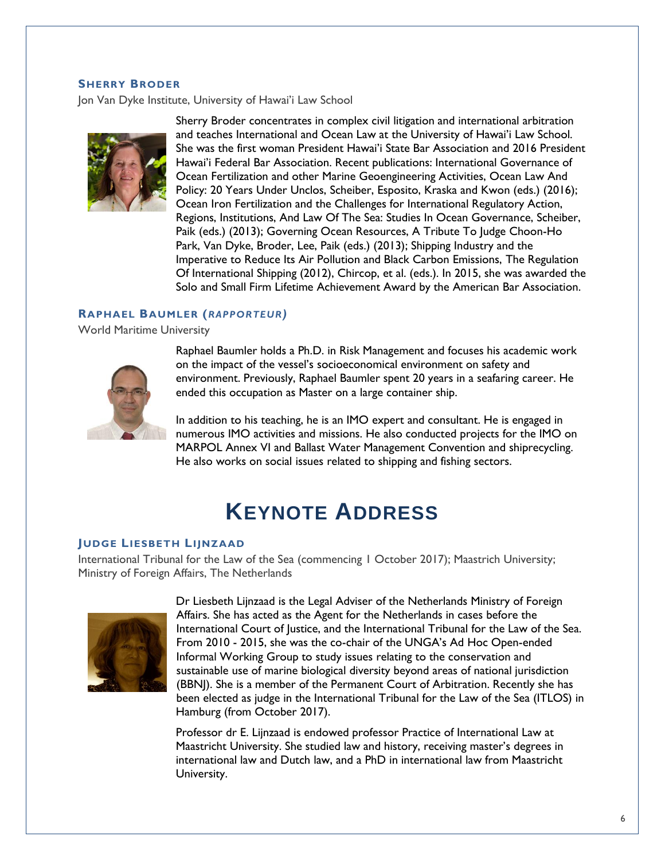#### **SHERRY BRODER**

Jon Van Dyke Institute, University of Hawai'i Law School



Sherry Broder concentrates in complex civil litigation and international arbitration and teaches International and Ocean Law at the University of Hawai'i Law School. She was the first woman President Hawai'i State Bar Association and 2016 President Hawai'i Federal Bar Association. Recent publications: International Governance of Ocean Fertilization and other Marine Geoengineering Activities, Ocean Law And Policy: 20 Years Under Unclos, Scheiber, Esposito, Kraska and Kwon (eds.) (2016); Ocean Iron Fertilization and the Challenges for International Regulatory Action, Regions, Institutions, And Law Of The Sea: Studies In Ocean Governance, Scheiber, Paik (eds.) (2013); Governing Ocean Resources, A Tribute To Judge Choon-Ho Park, Van Dyke, Broder, Lee, Paik (eds.) (2013); Shipping Industry and the Imperative to Reduce Its Air Pollution and Black Carbon Emissions, The Regulation Of International Shipping (2012), Chircop, et al. (eds.). In 2015, she was awarded the Solo and Small Firm Lifetime Achievement Award by the American Bar Association.

#### **RAPHAEL BAUMLER (***RAPPORTEUR)*

World Maritime University



Raphael Baumler holds a Ph.D. in Risk Management and focuses his academic work on the impact of the vessel's socioeconomical environment on safety and environment. Previously, Raphael Baumler spent 20 years in a seafaring career. He ended this occupation as Master on a large container ship.

In addition to his teaching, he is an IMO expert and consultant. He is engaged in numerous IMO activities and missions. He also conducted projects for the IMO on MARPOL Annex VI and Ballast Water Management Convention and shiprecycling. He also works on social issues related to shipping and fishing sectors.

### **KEYNOTE ADDRESS**

#### **JUDGE LIESBETH LIJNZAAD**

International Tribunal for the Law of the Sea (commencing 1 October 2017); Maastrich University; Ministry of Foreign Affairs, The Netherlands



Dr Liesbeth Lijnzaad is the Legal Adviser of the Netherlands Ministry of Foreign Affairs. She has acted as the Agent for the Netherlands in cases before the International Court of Justice, and the International Tribunal for the Law of the Sea. From 2010 - 2015, she was the co-chair of the UNGA's Ad Hoc Open-ended Informal Working Group to study issues relating to the conservation and sustainable use of marine biological diversity beyond areas of national jurisdiction (BBNJ). She is a member of the Permanent Court of Arbitration. Recently she has been elected as judge in the International Tribunal for the Law of the Sea (ITLOS) in Hamburg (from October 2017).

Professor dr E. Lijnzaad is endowed professor Practice of International Law at Maastricht University. She studied law and history, receiving master's degrees in international law and Dutch law, and a PhD in international law from Maastricht University.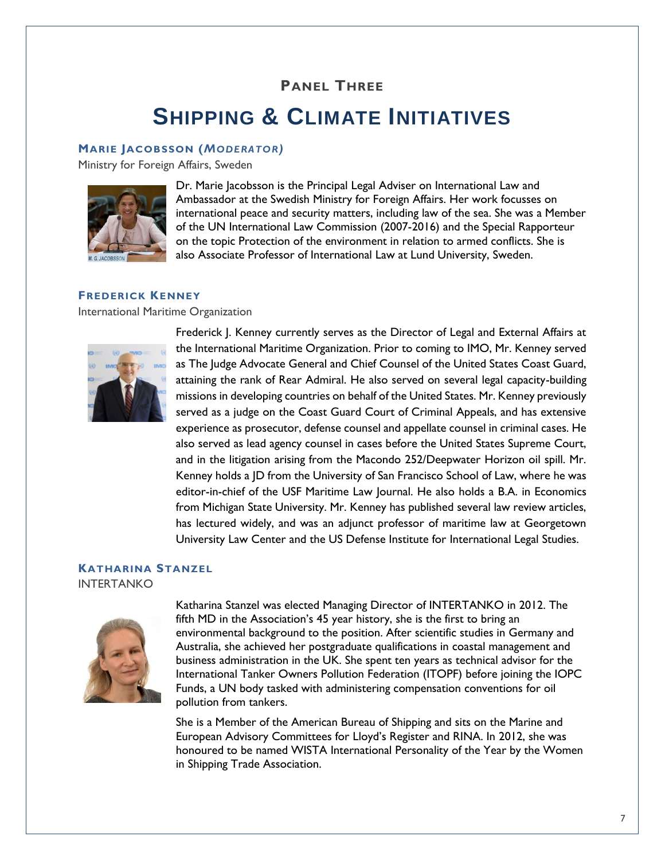### **PANEL THREE**

### **SHIPPING & CLIMATE INITIATIVES**

#### **MARIE JACOBSSON (***MODERATOR)*

Ministry for Foreign Affairs, Sweden



Dr. Marie Jacobsson is the Principal Legal Adviser on International Law and Ambassador at the Swedish Ministry for Foreign Affairs. Her work focusses on international peace and security matters, including law of the sea. She was a Member of the UN International Law Commission (2007-2016) and the Special Rapporteur on the topic Protection of the environment in relation to armed conflicts. She is also Associate Professor of International Law at Lund University, Sweden.

#### **FREDERICK KENNEY**

International Maritime Organization



Frederick J. Kenney currently serves as the Director of Legal and External Affairs at the International Maritime Organization. Prior to coming to IMO, Mr. Kenney served as The Judge Advocate General and Chief Counsel of the United States Coast Guard, attaining the rank of Rear Admiral. He also served on several legal capacity-building missions in developing countries on behalf of the United States. Mr. Kenney previously served as a judge on the Coast Guard Court of Criminal Appeals, and has extensive experience as prosecutor, defense counsel and appellate counsel in criminal cases. He also served as lead agency counsel in cases before the United States Supreme Court, and in the litigation arising from the Macondo 252/Deepwater Horizon oil spill. Mr. Kenney holds a JD from the University of San Francisco School of Law, where he was editor-in-chief of the USF Maritime Law Journal. He also holds a B.A. in Economics from Michigan State University. Mr. Kenney has published several law review articles, has lectured widely, and was an adjunct professor of maritime law at Georgetown University Law Center and the US Defense Institute for International Legal Studies.

#### **KATHARINA STANZEL**

INTERTANKO



Katharina Stanzel was elected Managing Director of INTERTANKO in 2012. The fifth MD in the Association's 45 year history, she is the first to bring an environmental background to the position. After scientific studies in Germany and Australia, she achieved her postgraduate qualifications in coastal management and business administration in the UK. She spent ten years as technical advisor for the International Tanker Owners Pollution Federation (ITOPF) before joining the IOPC Funds, a UN body tasked with administering compensation conventions for oil pollution from tankers.

She is a Member of the American Bureau of Shipping and sits on the Marine and European Advisory Committees for Lloyd's Register and RINA. In 2012, she was honoured to be named WISTA International Personality of the Year by the Women in Shipping Trade Association.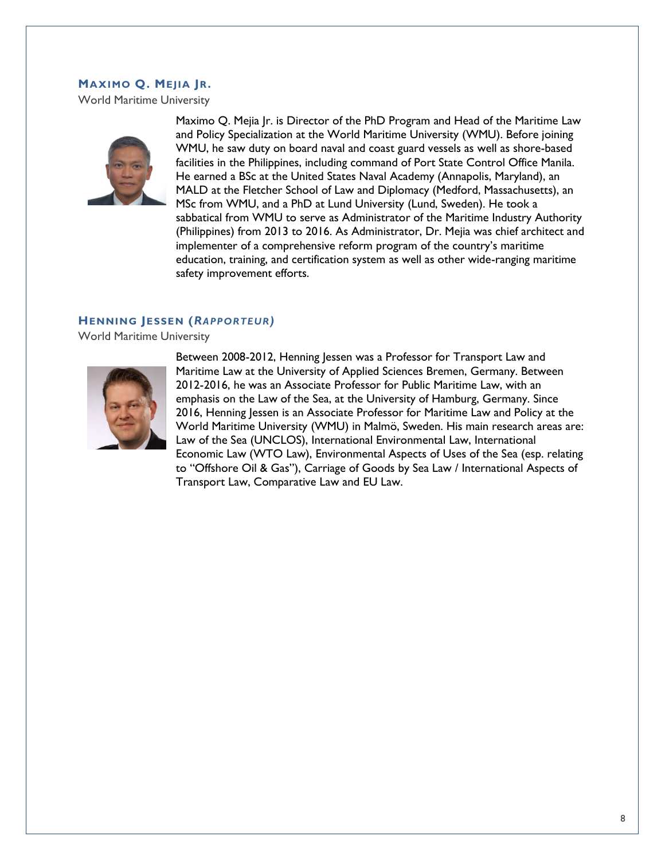#### **MAXIMO Q. MEJIA JR.**

World Maritime University



Maximo Q. Mejia Jr. is Director of the PhD Program and Head of the Maritime Law and Policy Specialization at the World Maritime University (WMU). Before joining WMU, he saw duty on board naval and coast guard vessels as well as shore-based facilities in the Philippines, including command of Port State Control Office Manila. He earned a BSc at the United States Naval Academy (Annapolis, Maryland), an MALD at the Fletcher School of Law and Diplomacy (Medford, Massachusetts), an MSc from WMU, and a PhD at Lund University (Lund, Sweden). He took a sabbatical from WMU to serve as Administrator of the Maritime Industry Authority (Philippines) from 2013 to 2016. As Administrator, Dr. Mejia was chief architect and implementer of a comprehensive reform program of the country's maritime education, training, and certification system as well as other wide-ranging maritime safety improvement efforts.

#### **HENNING JESSEN (***RAPPORTEUR)*

World Maritime University



Between 2008-2012, Henning Jessen was a Professor for Transport Law and Maritime Law at the University of Applied Sciences Bremen, Germany. Between 2012-2016, he was an Associate Professor for Public Maritime Law, with an emphasis on the Law of the Sea, at the University of Hamburg, Germany. Since 2016, Henning Jessen is an Associate Professor for Maritime Law and Policy at the World Maritime University (WMU) in Malmö, Sweden. His main research areas are: Law of the Sea (UNCLOS), International Environmental Law, International Economic Law (WTO Law), Environmental Aspects of Uses of the Sea (esp. relating to "Offshore Oil & Gas"), Carriage of Goods by Sea Law / International Aspects of Transport Law, Comparative Law and EU Law.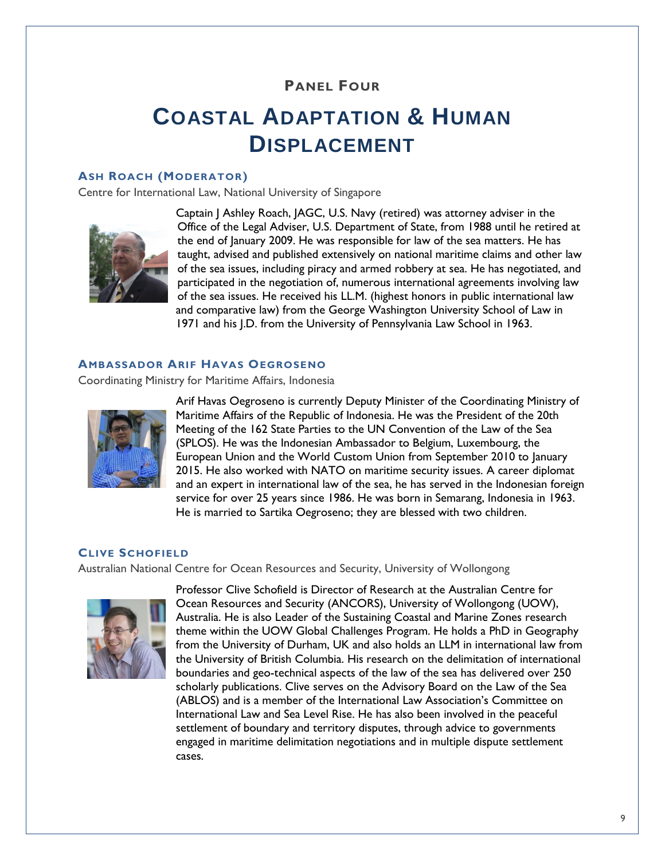### **PANEL FOUR**

# **COASTAL ADAPTATION & HUMAN DISPLACEMENT**

#### **ASH ROACH (MODERATOR)**

Centre for International Law, National University of Singapore



Captain J Ashley Roach, JAGC, U.S. Navy (retired) was attorney adviser in the Office of the Legal Adviser, U.S. Department of State, from 1988 until he retired at the end of January 2009. He was responsible for law of the sea matters. He has taught, advised and published extensively on national maritime claims and other law of the sea issues, including piracy and armed robbery at sea. He has negotiated, and participated in the negotiation of, numerous international agreements involving law of the sea issues. He received his LL.M. (highest honors in public international law and comparative law) from the George Washington University School of Law in 1971 and his J.D. from the University of Pennsylvania Law School in 1963.

#### **AMBASSADOR ARIF HAVAS OEGROSENO**

Coordinating Ministry for Maritime Affairs, Indonesia



Arif Havas Oegroseno is currently Deputy Minister of the Coordinating Ministry of Maritime Affairs of the Republic of Indonesia. He was the President of the 20th Meeting of the 162 State Parties to the UN Convention of the Law of the Sea (SPLOS). He was the Indonesian Ambassador to Belgium, Luxembourg, the European Union and the World Custom Union from September 2010 to January 2015. He also worked with NATO on maritime security issues. A career diplomat and an expert in international law of the sea, he has served in the Indonesian foreign service for over 25 years since 1986. He was born in Semarang, Indonesia in 1963. He is married to Sartika Oegroseno; they are blessed with two children.

#### **CLIVE SCHOFIELD**

Australian National Centre for Ocean Resources and Security, University of Wollongong



Professor Clive Schofield is Director of Research at the Australian Centre for Ocean Resources and Security (ANCORS), University of Wollongong (UOW), Australia. He is also Leader of the Sustaining Coastal and Marine Zones research theme within the UOW Global Challenges Program. He holds a PhD in Geography from the University of Durham, UK and also holds an LLM in international law from the University of British Columbia. His research on the delimitation of international boundaries and geo-technical aspects of the law of the sea has delivered over 250 scholarly publications. Clive serves on the Advisory Board on the Law of the Sea (ABLOS) and is a member of the International Law Association's Committee on International Law and Sea Level Rise. He has also been involved in the peaceful settlement of boundary and territory disputes, through advice to governments engaged in maritime delimitation negotiations and in multiple dispute settlement cases.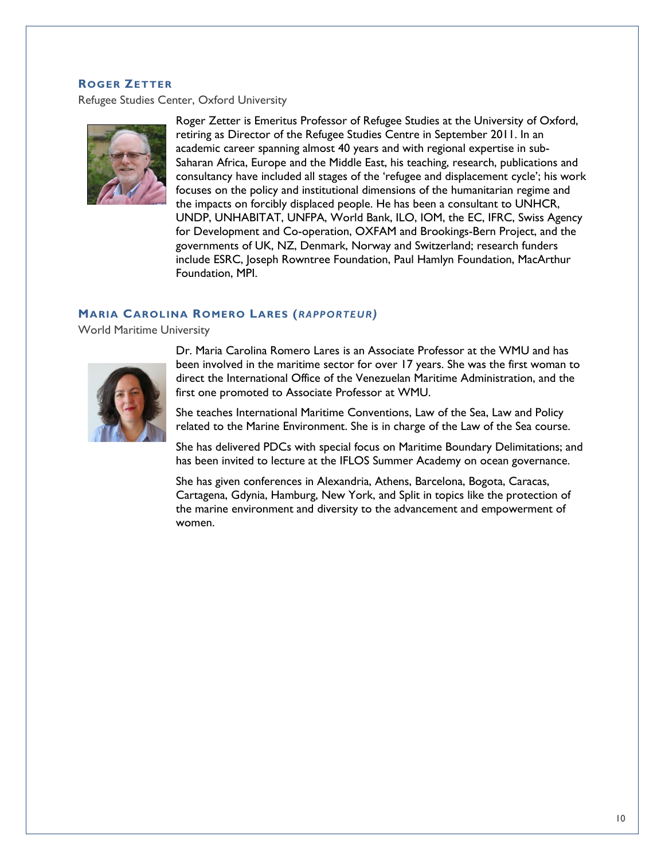#### **ROGER ZETTER**

Refugee Studies Center, Oxford University



Roger Zetter is Emeritus Professor of Refugee Studies at the University of Oxford, retiring as Director of the Refugee Studies Centre in September 2011. In an academic career spanning almost 40 years and with regional expertise in sub-Saharan Africa, Europe and the Middle East, his teaching, research, publications and consultancy have included all stages of the 'refugee and displacement cycle'; his work focuses on the policy and institutional dimensions of the humanitarian regime and the impacts on forcibly displaced people. He has been a consultant to UNHCR, UNDP, UNHABITAT, UNFPA, World Bank, ILO, IOM, the EC, IFRC, Swiss Agency for Development and Co-operation, OXFAM and Brookings-Bern Project, and the governments of UK, NZ, Denmark, Norway and Switzerland; research funders include ESRC, Joseph Rowntree Foundation, Paul Hamlyn Foundation, MacArthur Foundation, MPI.

#### **MARIA CAROLINA ROMERO LARES (***RAPPORTEUR)*

World Maritime University



Dr. Maria Carolina Romero Lares is an Associate Professor at the WMU and has been involved in the maritime sector for over 17 years. She was the first woman to direct the International Office of the Venezuelan Maritime Administration, and the first one promoted to Associate Professor at WMU.

She teaches International Maritime Conventions, Law of the Sea, Law and Policy related to the Marine Environment. She is in charge of the Law of the Sea course.

She has delivered PDCs with special focus on Maritime Boundary Delimitations; and has been invited to lecture at the IFLOS Summer Academy on ocean governance.

She has given conferences in Alexandria, Athens, Barcelona, Bogota, Caracas, Cartagena, Gdynia, Hamburg, New York, and Split in topics like the protection of the marine environment and diversity to the advancement and empowerment of women.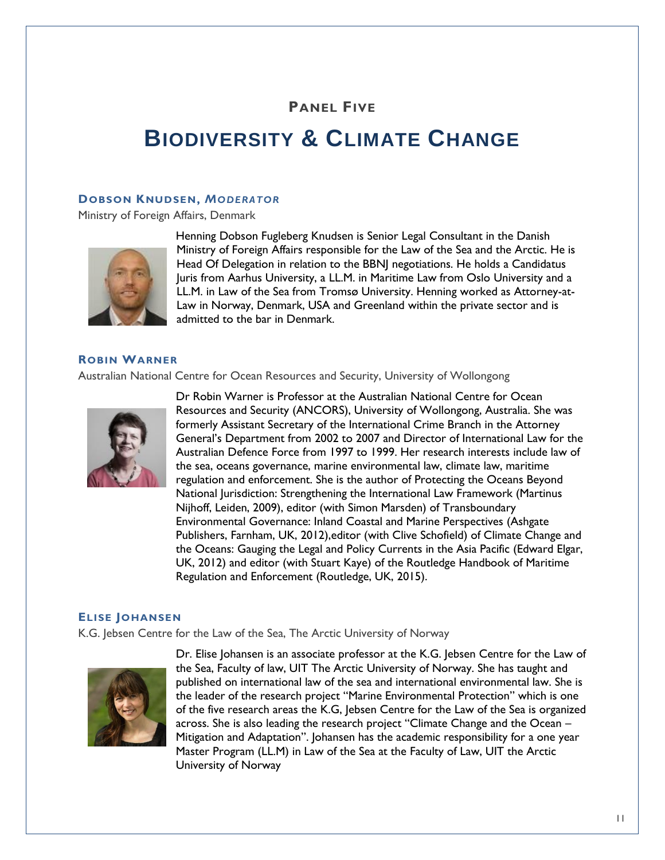### **PANEL FIVE**

# **BIODIVERSITY & CLIMATE CHANGE**

#### **DOBSON KNUDSEN,** *MODERATOR*

Ministry of Foreign Affairs, Denmark



Henning Dobson Fugleberg Knudsen is Senior Legal Consultant in the Danish Ministry of Foreign Affairs responsible for the Law of the Sea and the Arctic. He is Head Of Delegation in relation to the BBNJ negotiations. He holds a Candidatus Juris from Aarhus University, a LL.M. in Maritime Law from Oslo University and a LL.M. in Law of the Sea from Tromsø University. Henning worked as Attorney-at-Law in Norway, Denmark, USA and Greenland within the private sector and is admitted to the bar in Denmark.

#### **ROBIN WARNER**

Australian National Centre for Ocean Resources and Security, University of Wollongong



Dr Robin Warner is Professor at the Australian National Centre for Ocean Resources and Security (ANCORS), University of Wollongong, Australia. She was formerly Assistant Secretary of the International Crime Branch in the Attorney General's Department from 2002 to 2007 and Director of International Law for the Australian Defence Force from 1997 to 1999. Her research interests include law of the sea, oceans governance, marine environmental law, climate law, maritime regulation and enforcement. She is the author of Protecting the Oceans Beyond National Jurisdiction: Strengthening the International Law Framework (Martinus Nijhoff, Leiden, 2009), editor (with Simon Marsden) of Transboundary Environmental Governance: Inland Coastal and Marine Perspectives (Ashgate Publishers, Farnham, UK, 2012),editor (with Clive Schofield) of Climate Change and the Oceans: Gauging the Legal and Policy Currents in the Asia Pacific (Edward Elgar, UK, 2012) and editor (with Stuart Kaye) of the Routledge Handbook of Maritime Regulation and Enforcement (Routledge, UK, 2015).

#### **ELISE JOHANSEN**

K.G. Jebsen Centre for the Law of the Sea, The Arctic University of Norway



Dr. Elise Johansen is an associate professor at the K.G. Jebsen Centre for the Law of the Sea, Faculty of law, UIT The Arctic University of Norway. She has taught and published on international law of the sea and international environmental law. She is the leader of the research project "Marine Environmental Protection" which is one of the five research areas the K.G, Jebsen Centre for the Law of the Sea is organized across. She is also leading the research project "Climate Change and the Ocean – Mitigation and Adaptation". Johansen has the academic responsibility for a one year Master Program (LL.M) in Law of the Sea at the Faculty of Law, UIT the Arctic University of Norway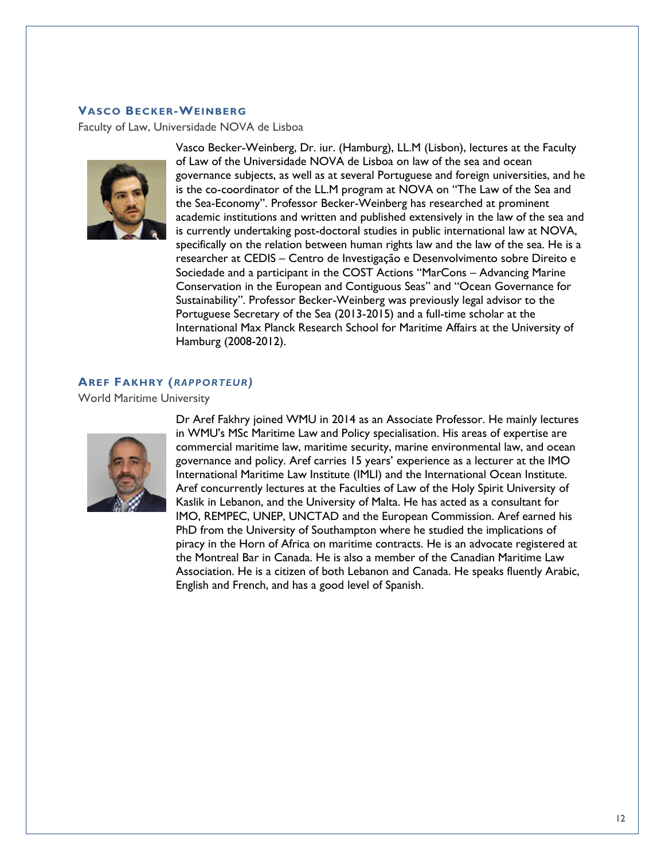#### **VASCO BECKER-WEINBERG**

Faculty of Law, Universidade NOVA de Lisboa



Vasco Becker-Weinberg, Dr. iur. (Hamburg), LL.M (Lisbon), lectures at the Faculty of Law of the Universidade NOVA de Lisboa on law of the sea and ocean governance subjects, as well as at several Portuguese and foreign universities, and he is the co-coordinator of the LL.M program at NOVA on "The Law of the Sea and the Sea-Economy". Professor Becker-Weinberg has researched at prominent academic institutions and written and published extensively in the law of the sea and is currently undertaking post-doctoral studies in public international law at NOVA, specifically on the relation between human rights law and the law of the sea. He is a researcher at CEDIS – Centro de Investigação e Desenvolvimento sobre Direito e Sociedade and a participant in the COST Actions "MarCons – Advancing Marine Conservation in the European and Contiguous Seas" and "Ocean Governance for Sustainability". Professor Becker-Weinberg was previously legal advisor to the Portuguese Secretary of the Sea (2013-2015) and a full-time scholar at the International Max Planck Research School for Maritime Affairs at the University of Hamburg (2008-2012).

#### **AREF FAKHRY (***RAPPORTEUR)*

World Maritime University



Dr Aref Fakhry joined WMU in 2014 as an Associate Professor. He mainly lectures in WMU's MSc Maritime Law and Policy specialisation. His areas of expertise are commercial maritime law, maritime security, marine environmental law, and ocean governance and policy. Aref carries 15 years' experience as a lecturer at the IMO International Maritime Law Institute (IMLI) and the International Ocean Institute. Aref concurrently lectures at the Faculties of Law of the Holy Spirit University of Kaslik in Lebanon, and the University of Malta. He has acted as a consultant for IMO, REMPEC, UNEP, UNCTAD and the European Commission. Aref earned his PhD from the University of Southampton where he studied the implications of piracy in the Horn of Africa on maritime contracts. He is an advocate registered at the Montreal Bar in Canada. He is also a member of the Canadian Maritime Law Association. He is a citizen of both Lebanon and Canada. He speaks fluently Arabic, English and French, and has a good level of Spanish.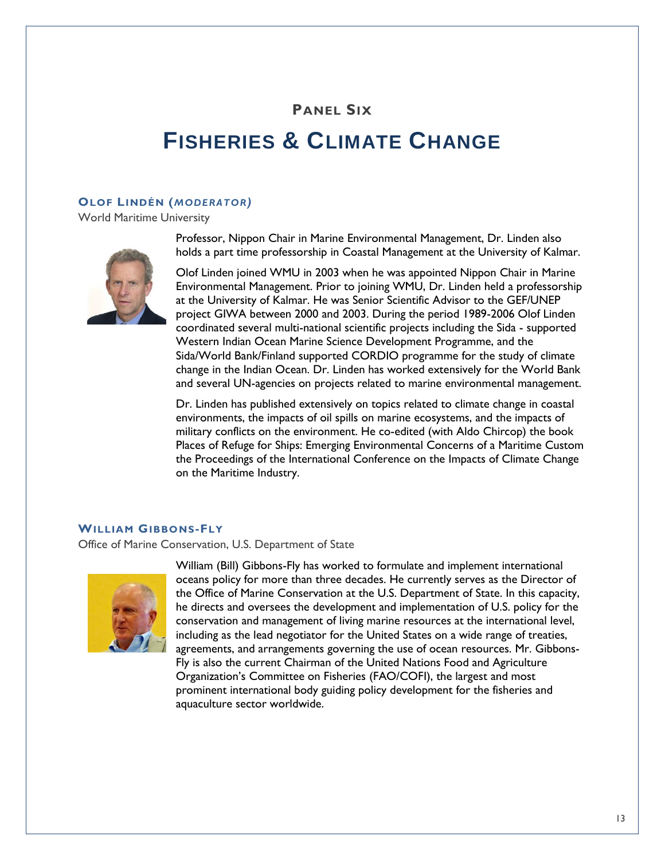### **PANEL SIX**

# **FISHERIES & CLIMATE CHANGE**

#### **OLOF LINDÉN (***MODERATOR)*

World Maritime University



Professor, Nippon Chair in Marine Environmental Management, Dr. Linden also holds a part time professorship in Coastal Management at the University of Kalmar.

Olof Linden joined WMU in 2003 when he was appointed Nippon Chair in Marine Environmental Management. Prior to joining WMU, Dr. Linden held a professorship at the University of Kalmar. He was Senior Scientific Advisor to the GEF/UNEP project GIWA between 2000 and 2003. During the period 1989-2006 Olof Linden coordinated several multi-national scientific projects including the Sida - supported Western Indian Ocean Marine Science Development Programme, and the Sida/World Bank/Finland supported CORDIO programme for the study of climate change in the Indian Ocean. Dr. Linden has worked extensively for the World Bank and several UN-agencies on projects related to marine environmental management.

Dr. Linden has published extensively on topics related to climate change in coastal environments, the impacts of oil spills on marine ecosystems, and the impacts of military conflicts on the environment. He co-edited (with Aldo Chircop) the book Places of Refuge for Ships: Emerging Environmental Concerns of a Maritime Custom the Proceedings of the International Conference on the Impacts of Climate Change on the Maritime Industry.

#### **WILLIAM GIBBONS-FLY**

Office of Marine Conservation, U.S. Department of State



William (Bill) Gibbons-Fly has worked to formulate and implement international oceans policy for more than three decades. He currently serves as the Director of the Office of Marine Conservation at the U.S. Department of State. In this capacity, he directs and oversees the development and implementation of U.S. policy for the conservation and management of living marine resources at the international level, including as the lead negotiator for the United States on a wide range of treaties, agreements, and arrangements governing the use of ocean resources. Mr. Gibbons-Fly is also the current Chairman of the United Nations Food and Agriculture Organization's Committee on Fisheries (FAO/COFI), the largest and most prominent international body guiding policy development for the fisheries and aquaculture sector worldwide.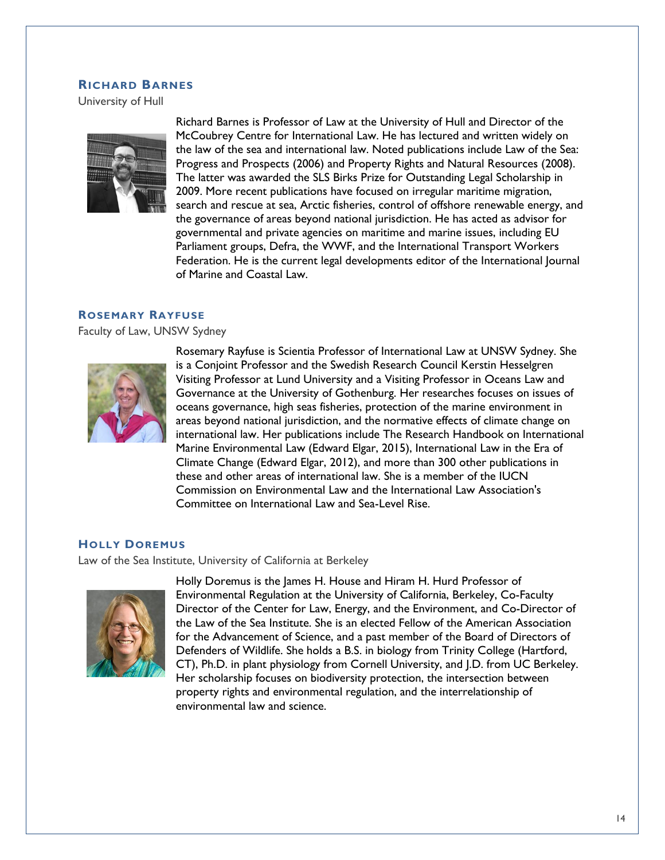#### **RICHARD BARNES**

University of Hull



Richard Barnes is Professor of Law at the University of Hull and Director of the McCoubrey Centre for International Law. He has lectured and written widely on the law of the sea and international law. Noted publications include Law of the Sea: Progress and Prospects (2006) and Property Rights and Natural Resources (2008). The latter was awarded the SLS Birks Prize for Outstanding Legal Scholarship in 2009. More recent publications have focused on irregular maritime migration, search and rescue at sea, Arctic fisheries, control of offshore renewable energy, and the governance of areas beyond national jurisdiction. He has acted as advisor for governmental and private agencies on maritime and marine issues, including EU Parliament groups, Defra, the WWF, and the International Transport Workers Federation. He is the current legal developments editor of the International Journal of Marine and Coastal Law.

#### **ROSEMARY RAYFUSE**

Faculty of Law, UNSW Sydney



Rosemary Rayfuse is Scientia Professor of International Law at UNSW Sydney. She is a Conjoint Professor and the Swedish Research Council Kerstin Hesselgren Visiting Professor at Lund University and a Visiting Professor in Oceans Law and Governance at the University of Gothenburg. Her researches focuses on issues of oceans governance, high seas fisheries, protection of the marine environment in areas beyond national jurisdiction, and the normative effects of climate change on international law. Her publications include The Research Handbook on International Marine Environmental Law (Edward Elgar, 2015), International Law in the Era of Climate Change (Edward Elgar, 2012), and more than 300 other publications in these and other areas of international law. She is a member of the IUCN Commission on Environmental Law and the International Law Association's Committee on International Law and Sea-Level Rise.

#### **HOLLY DOREMUS**

Law of the Sea Institute, University of California at Berkeley



Holly Doremus is the James H. House and Hiram H. Hurd Professor of Environmental Regulation at the University of California, Berkeley, Co-Faculty Director of the Center for Law, Energy, and the Environment, and Co-Director of the Law of the Sea Institute. She is an elected Fellow of the American Association for the Advancement of Science, and a past member of the Board of Directors of Defenders of Wildlife. She holds a B.S. in biology from Trinity College (Hartford, CT), Ph.D. in plant physiology from Cornell University, and J.D. from UC Berkeley. Her scholarship focuses on biodiversity protection, the intersection between property rights and environmental regulation, and the interrelationship of environmental law and science.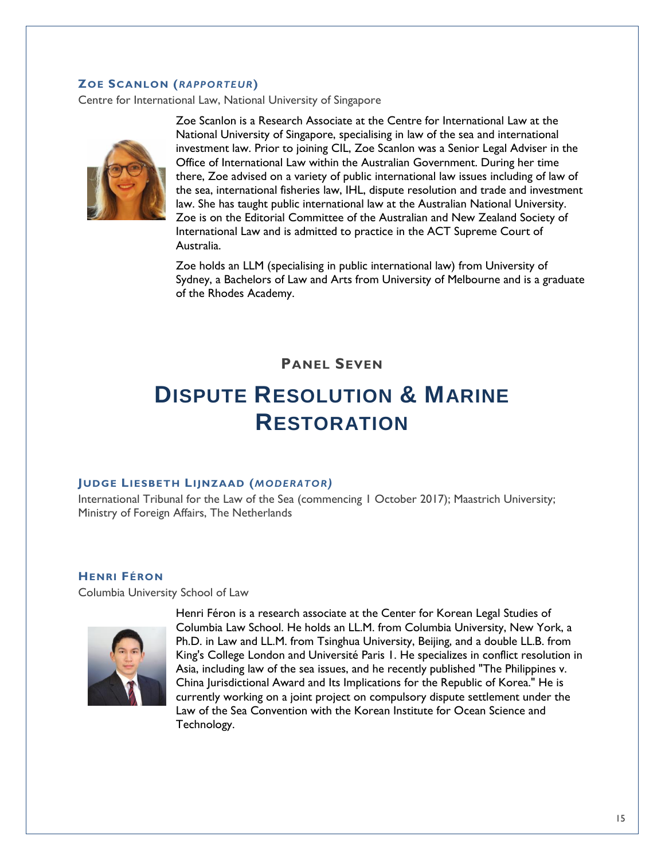#### **ZOE SCANLON (***RAPPORTEUR***)**

Centre for International Law, National University of Singapore



Zoe Scanlon is a Research Associate at the Centre for International Law at the National University of Singapore, specialising in law of the sea and international investment law. Prior to joining CIL, Zoe Scanlon was a Senior Legal Adviser in the Office of International Law within the Australian Government. During her time there, Zoe advised on a variety of public international law issues including of law of the sea, international fisheries law, IHL, dispute resolution and trade and investment law. She has taught public international law at the Australian National University. Zoe is on the Editorial Committee of the Australian and New Zealand Society of International Law and is admitted to practice in the ACT Supreme Court of Australia.

Zoe holds an LLM (specialising in public international law) from University of Sydney, a Bachelors of Law and Arts from University of Melbourne and is a graduate of the Rhodes Academy.

### **PANEL SEVEN**

# **DISPUTE RESOLUTION & MARINE RESTORATION**

#### **JUDGE LIESBETH LIJNZAAD (***MODERATOR)*

International Tribunal for the Law of the Sea (commencing 1 October 2017); Maastrich University; Ministry of Foreign Affairs, The Netherlands

#### **HENRI FÉRON**

Columbia University School of Law



Henri Féron is a research associate at the Center for Korean Legal Studies of Columbia Law School. He holds an LL.M. from Columbia University, New York, a Ph.D. in Law and LL.M. from Tsinghua University, Beijing, and a double LL.B. from King's College London and Université Paris 1. He specializes in conflict resolution in Asia, including law of the sea issues, and he recently published "The Philippines v. China Jurisdictional Award and Its Implications for the Republic of Korea." He is currently working on a joint project on compulsory dispute settlement under the Law of the Sea Convention with the Korean Institute for Ocean Science and Technology.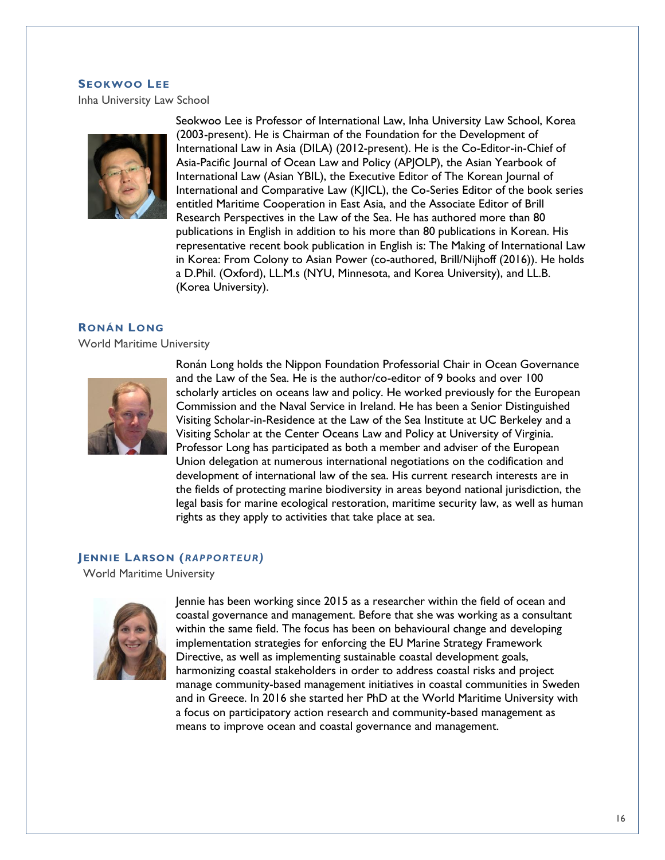### **SEOKWOO LEE**

Inha University Law School



Seokwoo Lee is Professor of International Law, Inha University Law School, Korea (2003-present). He is Chairman of the Foundation for the Development of International Law in Asia (DILA) (2012-present). He is the Co-Editor-in-Chief of Asia-Pacific Journal of Ocean Law and Policy (APJOLP), the Asian Yearbook of International Law (Asian YBIL), the Executive Editor of The Korean Journal of International and Comparative Law (KJICL), the Co-Series Editor of the book series entitled Maritime Cooperation in East Asia, and the Associate Editor of Brill Research Perspectives in the Law of the Sea. He has authored more than 80 publications in English in addition to his more than 80 publications in Korean. His representative recent book publication in English is: The Making of International Law in Korea: From Colony to Asian Power (co-authored, Brill/Nijhoff (2016)). He holds a D.Phil. (Oxford), LL.M.s (NYU, Minnesota, and Korea University), and LL.B. (Korea University).

#### **RONÁN LONG**

World Maritime University



Ronán Long holds the Nippon Foundation Professorial Chair in Ocean Governance and the Law of the Sea. He is the author/co-editor of 9 books and over 100 scholarly articles on oceans law and policy. He worked previously for the European Commission and the Naval Service in Ireland. He has been a Senior Distinguished Visiting Scholar-in-Residence at the Law of the Sea Institute at UC Berkeley and a Visiting Scholar at the Center Oceans Law and Policy at University of Virginia. Professor Long has participated as both a member and adviser of the European Union delegation at numerous international negotiations on the codification and development of international law of the sea. His current research interests are in the fields of protecting marine biodiversity in areas beyond national jurisdiction, the legal basis for marine ecological restoration, maritime security law, as well as human rights as they apply to activities that take place at sea.

#### **JENNIE LARSON (***RAPPORTEUR)*

World Maritime University



Jennie has been working since 2015 as a researcher within the field of ocean and coastal governance and management. Before that she was working as a consultant within the same field. The focus has been on behavioural change and developing implementation strategies for enforcing the EU Marine Strategy Framework Directive, as well as implementing sustainable coastal development goals, harmonizing coastal stakeholders in order to address coastal risks and project manage community-based management initiatives in coastal communities in Sweden and in Greece. In 2016 she started her PhD at the World Maritime University with a focus on participatory action research and community-based management as means to improve ocean and coastal governance and management.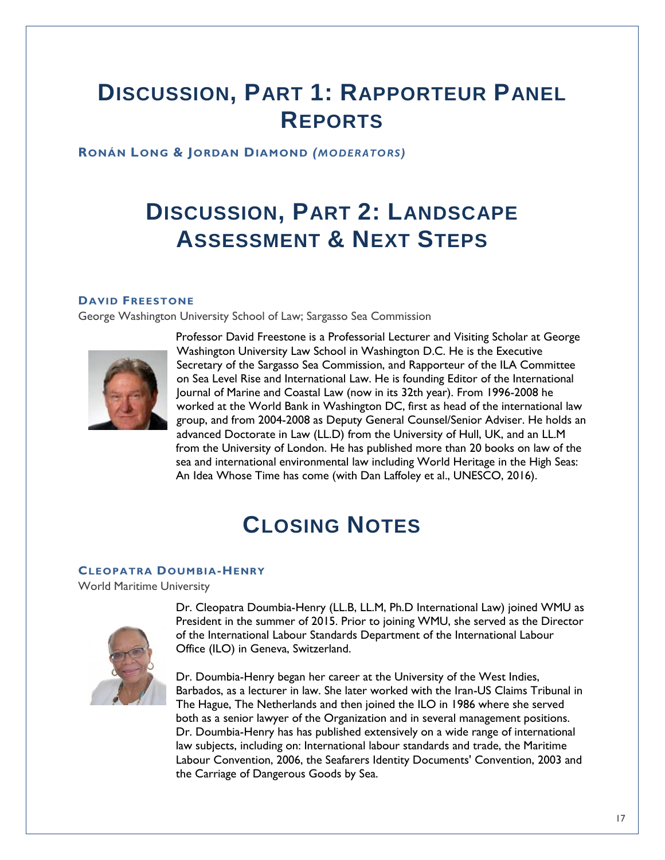# **DISCUSSION, PART 1: RAPPORTEUR PANEL REPORTS**

**RONÁN LONG & JORDAN DIAMOND** *(MODERATORS)*

# **DISCUSSION, PART 2: LANDSCAPE ASSESSMENT & NEXT STEPS**

#### **DAVID FREESTONE**

George Washington University School of Law; Sargasso Sea Commission



Professor David Freestone is a Professorial Lecturer and Visiting Scholar at George Washington University Law School in Washington D.C. He is the Executive Secretary of the Sargasso Sea Commission, and Rapporteur of the ILA Committee on Sea Level Rise and International Law. He is founding Editor of the International Journal of Marine and Coastal Law (now in its 32th year). From 1996-2008 he worked at the World Bank in Washington DC, first as head of the international law group, and from 2004-2008 as Deputy General Counsel/Senior Adviser. He holds an advanced Doctorate in Law (LL.D) from the University of Hull, UK, and an LL.M from the University of London. He has published more than 20 books on law of the sea and international environmental law including World Heritage in the High Seas: An Idea Whose Time has come (with Dan Laffoley et al., UNESCO, 2016).

# **CLOSING NOTES**

#### **CLEOPATRA DOUMBIA-HENRY**

World Maritime University



Dr. Cleopatra Doumbia-Henry (LL.B, LL.M, Ph.D International Law) joined WMU as President in the summer of 2015. Prior to joining WMU, she served as the Director of the International Labour Standards Department of the International Labour Office (ILO) in Geneva, Switzerland.

Dr. Doumbia-Henry began her career at the University of the West Indies, Barbados, as a lecturer in law. She later worked with the Iran-US Claims Tribunal in The Hague, The Netherlands and then joined the ILO in 1986 where she served both as a senior lawyer of the Organization and in several management positions. Dr. Doumbia-Henry has has published extensively on a wide range of international law subjects, including on: International labour standards and trade, the Maritime Labour Convention, 2006, the Seafarers Identity Documents' Convention, 2003 and the Carriage of Dangerous Goods by Sea.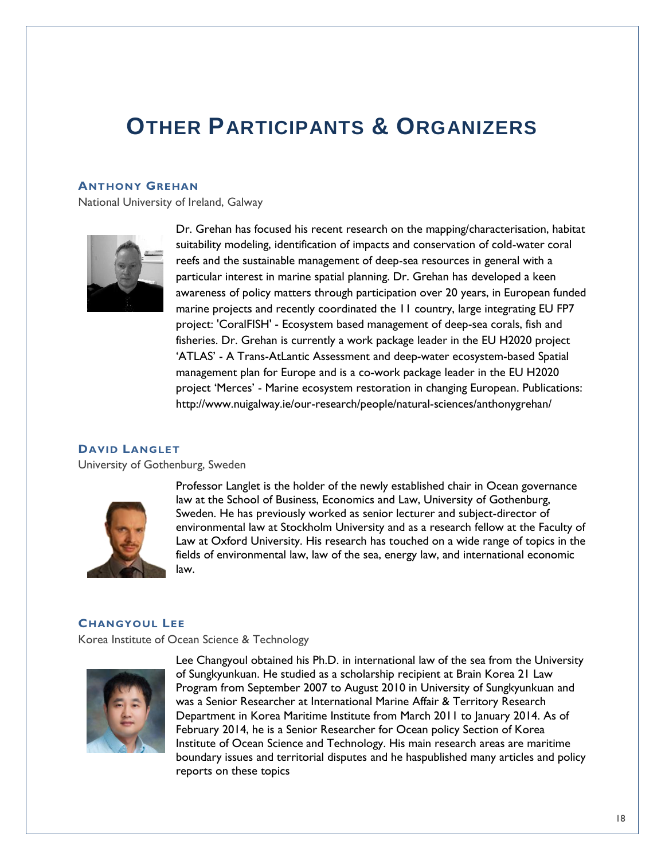### **OTHER PARTICIPANTS & ORGANIZERS**

#### **ANTHONY GREHAN**

National University of Ireland, Galway



Dr. Grehan has focused his recent research on the mapping/characterisation, habitat suitability modeling, identification of impacts and conservation of cold-water coral reefs and the sustainable management of deep-sea resources in general with a particular interest in marine spatial planning. Dr. Grehan has developed a keen awareness of policy matters through participation over 20 years, in European funded marine projects and recently coordinated the 11 country, large integrating EU FP7 project: 'CoralFISH' - Ecosystem based management of deep-sea corals, fish and fisheries. Dr. Grehan is currently a work package leader in the EU H2020 project 'ATLAS' - A Trans-AtLantic Assessment and deep-water ecosystem-based Spatial management plan for Europe and is a co-work package leader in the EU H2020 project 'Merces' - Marine ecosystem restoration in changing European. Publications: http://www.nuigalway.ie/our-research/people/natural-sciences/anthonygrehan/

#### **DAVID LANGLET**

University of Gothenburg, Sweden



Professor Langlet is the holder of the newly established chair in Ocean governance law at the School of Business, Economics and Law, University of Gothenburg, Sweden. He has previously worked as senior lecturer and subject-director of environmental law at Stockholm University and as a research fellow at the Faculty of Law at Oxford University. His research has touched on a wide range of topics in the fields of environmental law, law of the sea, energy law, and international economic law.

#### **CHANGYOUL LEE**

Korea Institute of Ocean Science & Technology



Lee Changyoul obtained his Ph.D. in international law of the sea from the University of Sungkyunkuan. He studied as a scholarship recipient at Brain Korea 21 Law Program from September 2007 to August 2010 in University of Sungkyunkuan and was a Senior Researcher at International Marine Affair & Territory Research Department in Korea Maritime Institute from March 2011 to January 2014. As of February 2014, he is a Senior Researcher for Ocean policy Section of Korea Institute of Ocean Science and Technology. His main research areas are maritime boundary issues and territorial disputes and he haspublished many articles and policy reports on these topics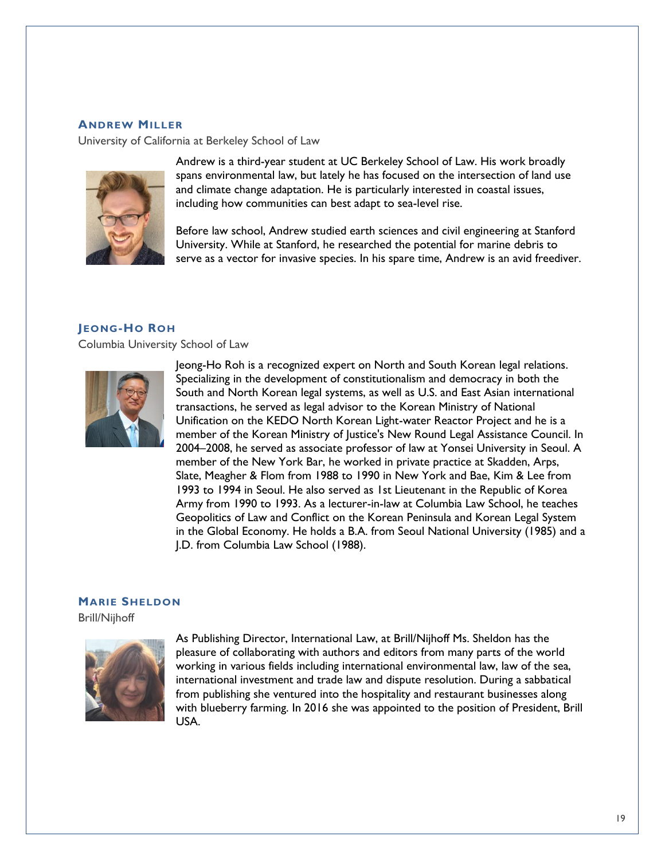#### **ANDREW MILLER**

University of California at Berkeley School of Law



Andrew is a third-year student at UC Berkeley School of Law. His work broadly spans environmental law, but lately he has focused on the intersection of land use and climate change adaptation. He is particularly interested in coastal issues, including how communities can best adapt to sea-level rise.

Before law school, Andrew studied earth sciences and civil engineering at Stanford University. While at Stanford, he researched the potential for marine debris to serve as a vector for invasive species. In his spare time, Andrew is an avid freediver.

#### **JEONG-HO ROH**

Columbia University School of Law



Jeong-Ho Roh is a recognized expert on North and South Korean legal relations. Specializing in the development of constitutionalism and democracy in both the South and North Korean legal systems, as well as U.S. and East Asian international transactions, he served as legal advisor to the Korean Ministry of National Unification on the KEDO North Korean Light-water Reactor Project and he is a member of the Korean Ministry of Justice's New Round Legal Assistance Council. In 2004–2008, he served as associate professor of law at Yonsei University in Seoul. A member of the New York Bar, he worked in private practice at Skadden, Arps, Slate, Meagher & Flom from 1988 to 1990 in New York and Bae, Kim & Lee from 1993 to 1994 in Seoul. He also served as 1st Lieutenant in the Republic of Korea Army from 1990 to 1993. As a lecturer-in-law at Columbia Law School, he teaches Geopolitics of Law and Conflict on the Korean Peninsula and Korean Legal System in the Global Economy. He holds a B.A. from Seoul National University (1985) and a J.D. from Columbia Law School (1988).

#### **MARIE SHELDON**

Brill/Nijhoff



As Publishing Director, International Law, at Brill/Nijhoff Ms. Sheldon has the pleasure of collaborating with authors and editors from many parts of the world working in various fields including international environmental law, law of the sea, international investment and trade law and dispute resolution. During a sabbatical from publishing she ventured into the hospitality and restaurant businesses along with blueberry farming. In 2016 she was appointed to the position of President, Brill USA.